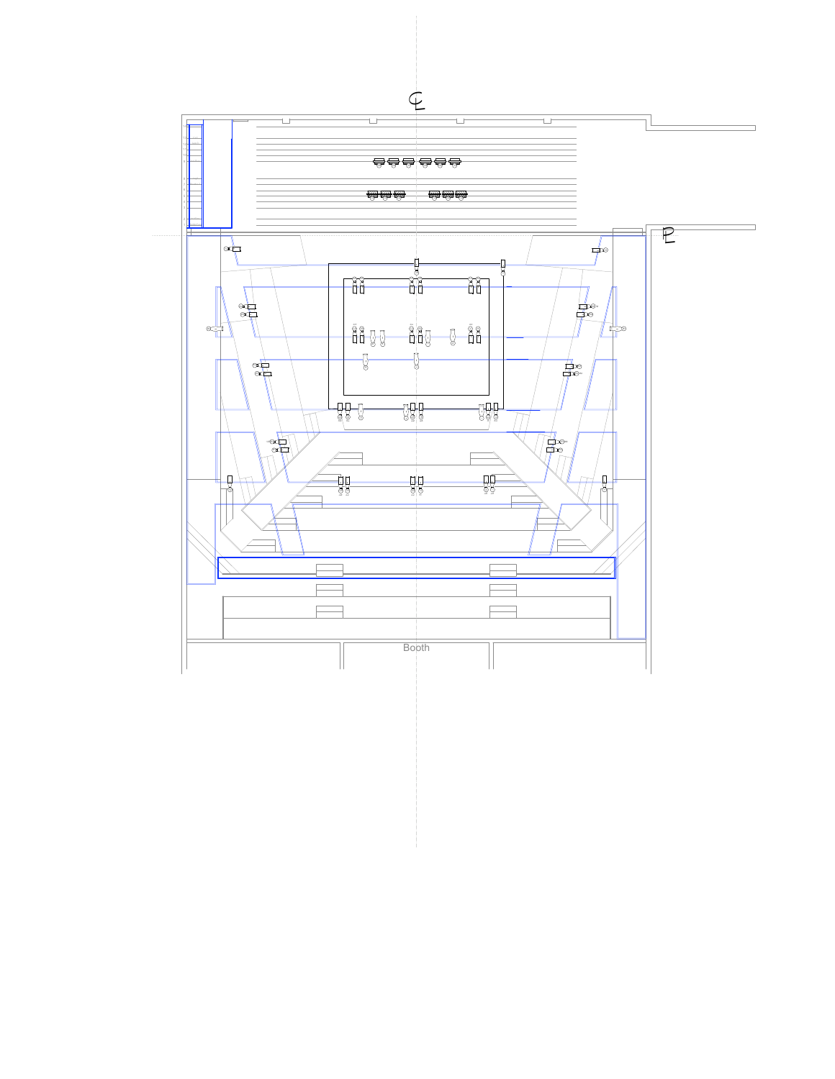